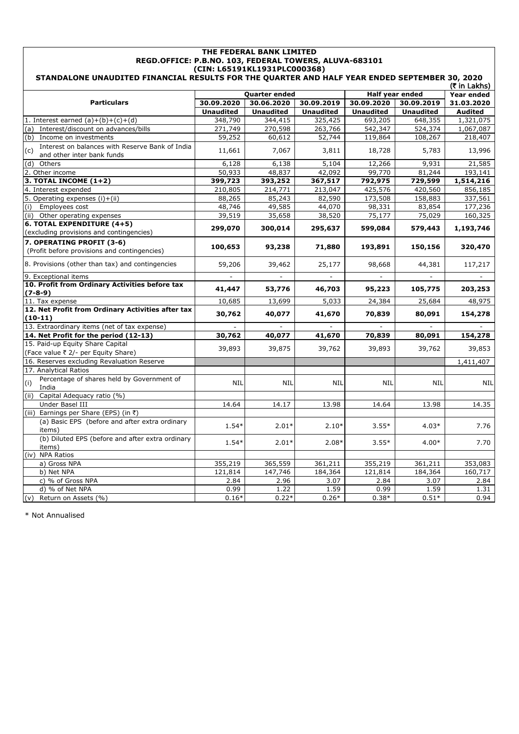| THE FEDERAL BANK LIMITED<br>REGD.OFFICE: P.B.NO. 103, FEDERAL TOWERS, ALUVA-683101                                                            |                  |                  |                  |                  |                  |                        |  |
|-----------------------------------------------------------------------------------------------------------------------------------------------|------------------|------------------|------------------|------------------|------------------|------------------------|--|
| (CIN: L65191KL1931PLC000368)<br>STANDALONE UNAUDITED FINANCIAL RESULTS FOR THE QUARTER AND HALF YEAR ENDED SEPTEMBER 30, 2020<br>(₹ in Lakhs) |                  |                  |                  |                  |                  |                        |  |
|                                                                                                                                               |                  | Quarter ended    |                  |                  | Half year ended  | Year ended             |  |
| <b>Particulars</b>                                                                                                                            | 30.09.2020       | 30.06.2020       | 30.09.2019       | 30.09.2020       | 30.09.2019       | 31.03.2020             |  |
|                                                                                                                                               | <b>Unaudited</b> | <b>Unaudited</b> | <b>Unaudited</b> | <b>Unaudited</b> | <b>Unaudited</b> | <b>Audited</b>         |  |
|                                                                                                                                               | 348,790          | 344,415          | 325,425          | 693,205          | 648,355          |                        |  |
| 1. Interest earned $(a)+(b)+(c)+(d)$                                                                                                          | 271,749          | 270,598          | 263,766          | 542,347          | 524,374          | 1,321,075<br>1,067,087 |  |
| Interest/discount on advances/bills<br>(a)<br>(b) Income on investments                                                                       | 59,252           | 60,612           | 52,744           |                  |                  |                        |  |
|                                                                                                                                               |                  |                  |                  | 119,864          | 108,267          | 218,407                |  |
| Interest on balances with Reserve Bank of India<br>(c)<br>and other inter bank funds                                                          | 11,661           | 7,067            | 3,811            | 18,728           | 5,783            | 13,996                 |  |
| (d)<br>Others                                                                                                                                 | 6,128            | 6,138            | 5,104            | 12,266           | 9,931            | 21,585                 |  |
| 2. Other income                                                                                                                               | 50,933           | 48,837           | 42,092           | 99,770           | 81,244           | 193,141                |  |
| 3. TOTAL INCOME $(1+2)$                                                                                                                       | 399,723          | 393,252          | 367,517          | 792,975          | 729,599          | 1,514,216              |  |
| 4. Interest expended                                                                                                                          | 210,805          | 214,771          | 213,047          | 425,576          | 420,560          | 856,185                |  |
| 5. Operating expenses (i)+(ii)                                                                                                                | 88,265           | 85,243           | 82,590           | 173,508          | 158,883          | 337,561                |  |
| Employees cost<br>(i)                                                                                                                         | 48,746           | 49,585           | 44,070           | 98,331           | 83,854           | 177,236                |  |
| (ii) Other operating expenses                                                                                                                 | 39,519           | 35,658           | 38,520           | 75,177           | 75,029           | 160,325                |  |
| 6. TOTAL EXPENDITURE (4+5)<br>(excluding provisions and contingencies)                                                                        | 299,070          | 300,014          | 295,637          | 599,084          | 579,443          | 1,193,746              |  |
| 7. OPERATING PROFIT (3-6)                                                                                                                     |                  |                  |                  |                  |                  |                        |  |
| (Profit before provisions and contingencies)                                                                                                  | 100,653          | 93,238           | 71,880           | 193,891          | 150,156          | 320,470                |  |
| 8. Provisions (other than tax) and contingencies                                                                                              | 59,206           | 39,462           | 25,177           | 98,668           | 44,381           | 117,217                |  |
| 9. Exceptional items                                                                                                                          |                  |                  |                  |                  |                  |                        |  |
| 10. Profit from Ordinary Activities before tax<br>$(7-8-9)$                                                                                   | 41,447           | 53,776           | 46,703           | 95,223           | 105,775          | 203,253                |  |
| 11. Tax expense                                                                                                                               | 10,685           | 13,699           | 5,033            | 24,384           | 25,684           | 48,975                 |  |
| 12. Net Profit from Ordinary Activities after tax<br>$(10-11)$                                                                                | 30,762           | 40,077           | 41,670           | 70,839           | 80,091           | 154,278                |  |
| 13. Extraordinary items (net of tax expense)                                                                                                  |                  |                  |                  |                  |                  |                        |  |
| 14. Net Profit for the period (12-13)                                                                                                         | 30,762           | 40,077           | 41,670           | 70,839           | 80,091           | 154,278                |  |
| 15. Paid-up Equity Share Capital<br>(Face value ₹ 2/- per Equity Share)                                                                       | 39,893           | 39,875           | 39,762           | 39,893           | 39,762           | 39,853                 |  |
| 16. Reserves excluding Revaluation Reserve                                                                                                    |                  |                  |                  |                  |                  | 1,411,407              |  |
| 17. Analytical Ratios                                                                                                                         |                  |                  |                  |                  |                  |                        |  |
| Percentage of shares held by Government of<br>(i)<br>India                                                                                    | <b>NIL</b>       | <b>NIL</b>       | <b>NIL</b>       | <b>NIL</b>       | <b>NIL</b>       | <b>NIL</b>             |  |
| Capital Adequacy ratio (%)<br>(ii)                                                                                                            |                  |                  |                  |                  |                  |                        |  |
| Under Basel III                                                                                                                               | 14.64            | 14.17            | 13.98            | 14.64            | 13.98            | 14.35                  |  |
| Earnings per Share (EPS) (in ₹)<br>(iii)                                                                                                      |                  |                  |                  |                  |                  |                        |  |
| (a) Basic EPS (before and after extra ordinary                                                                                                |                  |                  |                  |                  |                  |                        |  |
| items)                                                                                                                                        | $1.54*$          | $2.01*$          | $2.10*$          | $3.55*$          | $4.03*$          | 7.76                   |  |
| (b) Diluted EPS (before and after extra ordinary<br>items)                                                                                    | $1.54*$          | $2.01*$          | $2.08*$          | $3.55*$          | $4.00*$          | 7.70                   |  |
| (iv) NPA Ratios                                                                                                                               |                  |                  |                  |                  |                  |                        |  |
| a) Gross NPA                                                                                                                                  | 355,219          | 365,559          | 361,211          | 355,219          | 361,211          | 353,083                |  |
| b) Net NPA                                                                                                                                    | 121,814          | 147,746          | 184,364          | 121,814          | 184,364          | 160,717                |  |
| c) % of Gross NPA                                                                                                                             | 2.84             | 2.96             | 3.07             | 2.84             | 3.07             | 2.84                   |  |
| d) % of Net NPA                                                                                                                               | 0.99             | 1.22             | 1.59             | 0.99             | 1.59             | 1.31                   |  |
| (v) Return on Assets (%)                                                                                                                      | $0.16*$          | $0.22*$          | $0.26*$          | $0.38*$          | $0.51*$          | 0.94                   |  |

\* Not Annualised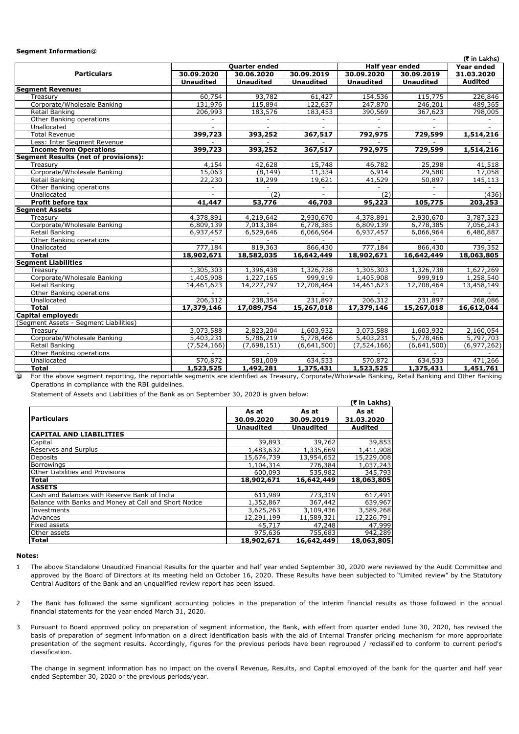### **Segment Information**@

| Quarter ended<br>Half year ended<br><b>Year ended</b><br><b>Particulars</b><br>30.09.2020<br>30.06.2020<br>30.09.2019<br>30.09.2019<br>31.03.2020<br>30.09.2020<br><b>Unaudited</b><br><b>Unaudited</b><br><b>Unaudited</b><br><b>Unaudited</b><br><b>Audited</b><br><b>Unaudited</b><br><b>Segment Revenue:</b><br>60,754<br>93,782<br>61,427<br>154,536<br>115,775<br>226,846<br>Treasurv<br>131,976<br>Corporate/Wholesale Banking<br>115,894<br>247,870<br>246,201<br>122,637<br>489,365<br><b>Retail Banking</b><br>206,993<br>367,623<br>183,576<br>183,453<br>390,569<br>Other Banking operations<br>Unallocated<br>$\sim$<br>$\sim$<br>$\sim$<br>$\sim$<br>$\sim$<br><b>Total Revenue</b><br>399,723<br>393,252<br>367,517<br>792,975<br>729,599<br>Less: Inter Segment Revenue<br>399,723<br>393,252<br>367,517<br>792,975<br>729,599<br>1,514,216<br><b>Income from Operations</b><br><b>Segment Results (net of provisions):</b><br>4,154<br>42,628<br>15,748<br>46,782<br>25,298<br>Treasury<br>41,518<br>Corporate/Wholesale Banking<br>6,914<br>15,063<br>11,334<br>29,580<br>(8, 149)<br>22,230<br>19,299<br>41,529<br>Retail Banking<br>19,621<br>50,897<br>145,113<br>Other Banking operations<br>$\overline{(2)}$<br>(2)<br>(436)<br>Unallocated<br>$\sim$<br>$\sim$<br>$\sim$<br>53,776<br>95,223<br>105,775<br><b>Profit before tax</b><br>41,447<br>46,703<br>203,253<br><b>Segment Assets</b><br>4,378,891<br>4,219,642<br>2,930,670<br>4,378,891<br>3,787,323<br>2,930,670<br>Treasury<br>Corporate/Wholesale Banking<br>6,809,139<br>7,013,384<br>6,778,385<br>6,809,139<br>6,778,385<br>6,529,646<br>6,937,457<br>Retail Banking<br>6,937,457<br>6,066,964<br>6,066,964<br>6,480,887<br>Other Banking operations<br>777,184<br>819,363<br>777,184<br>739,352<br>866,430<br>866,430<br>Unallocated<br>18,902,671<br>18,582,035<br>18,902,671<br>18,063,805<br><b>Total</b><br>16,642,449<br>16,642,449<br><b>Segment Liabilities</b><br>1,305,303<br>1,396,438<br>1,326,738<br>1,305,303<br>1,326,738<br>1,627,269<br>Treasury<br>Corporate/Wholesale Banking<br>999,919<br>999,919<br>1,405,908<br>1,227,165<br>1,405,908<br>1,258,540<br>14,461,623<br>14,227,797<br>12,708,464<br>14,461,623<br>12,708,464<br>13,458,149<br>Retail Banking<br>Other Banking operations<br>206,312<br>238,354<br>231,897<br>206,312<br>231,897<br>Unallocated<br><b>Total</b><br>17,379,146<br>17,379,146<br>15,267,018<br>17,089,754<br>15,267,018<br>16,612,044<br>Capital employed:<br>(Segment Assets - Segment Liabilities)<br>3,073,588<br>2,823,204<br>1,603,932<br>3,073,588<br>1,603,932<br>Treasury<br>5,778,466<br>5,778,466<br>Corporate/Wholesale Banking<br>5,403,231<br>5,786,219<br>5,403,231<br><b>Retail Banking</b><br>(7, 524, 166)<br>(7,698,151)<br>(7, 524, 166)<br>(6,641,500)<br>(6, 977, 262)<br>(6,641,500)<br>Other Banking operations<br>570,872<br>581,009<br>634,533<br>570,872<br>634,533<br>Unallocated<br>1,523,525<br>1,523,525<br>1,492,281<br>1,375,431<br>1,375,431<br>1,451,761<br><b>Total</b> |  |  |  |  | (₹ in Lakhs) |
|--------------------------------------------------------------------------------------------------------------------------------------------------------------------------------------------------------------------------------------------------------------------------------------------------------------------------------------------------------------------------------------------------------------------------------------------------------------------------------------------------------------------------------------------------------------------------------------------------------------------------------------------------------------------------------------------------------------------------------------------------------------------------------------------------------------------------------------------------------------------------------------------------------------------------------------------------------------------------------------------------------------------------------------------------------------------------------------------------------------------------------------------------------------------------------------------------------------------------------------------------------------------------------------------------------------------------------------------------------------------------------------------------------------------------------------------------------------------------------------------------------------------------------------------------------------------------------------------------------------------------------------------------------------------------------------------------------------------------------------------------------------------------------------------------------------------------------------------------------------------------------------------------------------------------------------------------------------------------------------------------------------------------------------------------------------------------------------------------------------------------------------------------------------------------------------------------------------------------------------------------------------------------------------------------------------------------------------------------------------------------------------------------------------------------------------------------------------------------------------------------------------------------------------------------------------------------------------------------------------------------------------------------------------------------------------------------------------------------------------------------------------------------------------------------------------------------------------------------------------------------------------------------------------------------------------------------------------------------------------------------------------------------------------------------|--|--|--|--|--------------|
|                                                                                                                                                                                                                                                                                                                                                                                                                                                                                                                                                                                                                                                                                                                                                                                                                                                                                                                                                                                                                                                                                                                                                                                                                                                                                                                                                                                                                                                                                                                                                                                                                                                                                                                                                                                                                                                                                                                                                                                                                                                                                                                                                                                                                                                                                                                                                                                                                                                                                                                                                                                                                                                                                                                                                                                                                                                                                                                                                                                                                                                  |  |  |  |  |              |
|                                                                                                                                                                                                                                                                                                                                                                                                                                                                                                                                                                                                                                                                                                                                                                                                                                                                                                                                                                                                                                                                                                                                                                                                                                                                                                                                                                                                                                                                                                                                                                                                                                                                                                                                                                                                                                                                                                                                                                                                                                                                                                                                                                                                                                                                                                                                                                                                                                                                                                                                                                                                                                                                                                                                                                                                                                                                                                                                                                                                                                                  |  |  |  |  |              |
|                                                                                                                                                                                                                                                                                                                                                                                                                                                                                                                                                                                                                                                                                                                                                                                                                                                                                                                                                                                                                                                                                                                                                                                                                                                                                                                                                                                                                                                                                                                                                                                                                                                                                                                                                                                                                                                                                                                                                                                                                                                                                                                                                                                                                                                                                                                                                                                                                                                                                                                                                                                                                                                                                                                                                                                                                                                                                                                                                                                                                                                  |  |  |  |  |              |
|                                                                                                                                                                                                                                                                                                                                                                                                                                                                                                                                                                                                                                                                                                                                                                                                                                                                                                                                                                                                                                                                                                                                                                                                                                                                                                                                                                                                                                                                                                                                                                                                                                                                                                                                                                                                                                                                                                                                                                                                                                                                                                                                                                                                                                                                                                                                                                                                                                                                                                                                                                                                                                                                                                                                                                                                                                                                                                                                                                                                                                                  |  |  |  |  |              |
|                                                                                                                                                                                                                                                                                                                                                                                                                                                                                                                                                                                                                                                                                                                                                                                                                                                                                                                                                                                                                                                                                                                                                                                                                                                                                                                                                                                                                                                                                                                                                                                                                                                                                                                                                                                                                                                                                                                                                                                                                                                                                                                                                                                                                                                                                                                                                                                                                                                                                                                                                                                                                                                                                                                                                                                                                                                                                                                                                                                                                                                  |  |  |  |  |              |
|                                                                                                                                                                                                                                                                                                                                                                                                                                                                                                                                                                                                                                                                                                                                                                                                                                                                                                                                                                                                                                                                                                                                                                                                                                                                                                                                                                                                                                                                                                                                                                                                                                                                                                                                                                                                                                                                                                                                                                                                                                                                                                                                                                                                                                                                                                                                                                                                                                                                                                                                                                                                                                                                                                                                                                                                                                                                                                                                                                                                                                                  |  |  |  |  |              |
|                                                                                                                                                                                                                                                                                                                                                                                                                                                                                                                                                                                                                                                                                                                                                                                                                                                                                                                                                                                                                                                                                                                                                                                                                                                                                                                                                                                                                                                                                                                                                                                                                                                                                                                                                                                                                                                                                                                                                                                                                                                                                                                                                                                                                                                                                                                                                                                                                                                                                                                                                                                                                                                                                                                                                                                                                                                                                                                                                                                                                                                  |  |  |  |  | 798,005      |
|                                                                                                                                                                                                                                                                                                                                                                                                                                                                                                                                                                                                                                                                                                                                                                                                                                                                                                                                                                                                                                                                                                                                                                                                                                                                                                                                                                                                                                                                                                                                                                                                                                                                                                                                                                                                                                                                                                                                                                                                                                                                                                                                                                                                                                                                                                                                                                                                                                                                                                                                                                                                                                                                                                                                                                                                                                                                                                                                                                                                                                                  |  |  |  |  |              |
|                                                                                                                                                                                                                                                                                                                                                                                                                                                                                                                                                                                                                                                                                                                                                                                                                                                                                                                                                                                                                                                                                                                                                                                                                                                                                                                                                                                                                                                                                                                                                                                                                                                                                                                                                                                                                                                                                                                                                                                                                                                                                                                                                                                                                                                                                                                                                                                                                                                                                                                                                                                                                                                                                                                                                                                                                                                                                                                                                                                                                                                  |  |  |  |  |              |
|                                                                                                                                                                                                                                                                                                                                                                                                                                                                                                                                                                                                                                                                                                                                                                                                                                                                                                                                                                                                                                                                                                                                                                                                                                                                                                                                                                                                                                                                                                                                                                                                                                                                                                                                                                                                                                                                                                                                                                                                                                                                                                                                                                                                                                                                                                                                                                                                                                                                                                                                                                                                                                                                                                                                                                                                                                                                                                                                                                                                                                                  |  |  |  |  | 1,514,216    |
|                                                                                                                                                                                                                                                                                                                                                                                                                                                                                                                                                                                                                                                                                                                                                                                                                                                                                                                                                                                                                                                                                                                                                                                                                                                                                                                                                                                                                                                                                                                                                                                                                                                                                                                                                                                                                                                                                                                                                                                                                                                                                                                                                                                                                                                                                                                                                                                                                                                                                                                                                                                                                                                                                                                                                                                                                                                                                                                                                                                                                                                  |  |  |  |  |              |
|                                                                                                                                                                                                                                                                                                                                                                                                                                                                                                                                                                                                                                                                                                                                                                                                                                                                                                                                                                                                                                                                                                                                                                                                                                                                                                                                                                                                                                                                                                                                                                                                                                                                                                                                                                                                                                                                                                                                                                                                                                                                                                                                                                                                                                                                                                                                                                                                                                                                                                                                                                                                                                                                                                                                                                                                                                                                                                                                                                                                                                                  |  |  |  |  |              |
|                                                                                                                                                                                                                                                                                                                                                                                                                                                                                                                                                                                                                                                                                                                                                                                                                                                                                                                                                                                                                                                                                                                                                                                                                                                                                                                                                                                                                                                                                                                                                                                                                                                                                                                                                                                                                                                                                                                                                                                                                                                                                                                                                                                                                                                                                                                                                                                                                                                                                                                                                                                                                                                                                                                                                                                                                                                                                                                                                                                                                                                  |  |  |  |  |              |
|                                                                                                                                                                                                                                                                                                                                                                                                                                                                                                                                                                                                                                                                                                                                                                                                                                                                                                                                                                                                                                                                                                                                                                                                                                                                                                                                                                                                                                                                                                                                                                                                                                                                                                                                                                                                                                                                                                                                                                                                                                                                                                                                                                                                                                                                                                                                                                                                                                                                                                                                                                                                                                                                                                                                                                                                                                                                                                                                                                                                                                                  |  |  |  |  |              |
|                                                                                                                                                                                                                                                                                                                                                                                                                                                                                                                                                                                                                                                                                                                                                                                                                                                                                                                                                                                                                                                                                                                                                                                                                                                                                                                                                                                                                                                                                                                                                                                                                                                                                                                                                                                                                                                                                                                                                                                                                                                                                                                                                                                                                                                                                                                                                                                                                                                                                                                                                                                                                                                                                                                                                                                                                                                                                                                                                                                                                                                  |  |  |  |  | 17,058       |
|                                                                                                                                                                                                                                                                                                                                                                                                                                                                                                                                                                                                                                                                                                                                                                                                                                                                                                                                                                                                                                                                                                                                                                                                                                                                                                                                                                                                                                                                                                                                                                                                                                                                                                                                                                                                                                                                                                                                                                                                                                                                                                                                                                                                                                                                                                                                                                                                                                                                                                                                                                                                                                                                                                                                                                                                                                                                                                                                                                                                                                                  |  |  |  |  |              |
|                                                                                                                                                                                                                                                                                                                                                                                                                                                                                                                                                                                                                                                                                                                                                                                                                                                                                                                                                                                                                                                                                                                                                                                                                                                                                                                                                                                                                                                                                                                                                                                                                                                                                                                                                                                                                                                                                                                                                                                                                                                                                                                                                                                                                                                                                                                                                                                                                                                                                                                                                                                                                                                                                                                                                                                                                                                                                                                                                                                                                                                  |  |  |  |  |              |
|                                                                                                                                                                                                                                                                                                                                                                                                                                                                                                                                                                                                                                                                                                                                                                                                                                                                                                                                                                                                                                                                                                                                                                                                                                                                                                                                                                                                                                                                                                                                                                                                                                                                                                                                                                                                                                                                                                                                                                                                                                                                                                                                                                                                                                                                                                                                                                                                                                                                                                                                                                                                                                                                                                                                                                                                                                                                                                                                                                                                                                                  |  |  |  |  |              |
|                                                                                                                                                                                                                                                                                                                                                                                                                                                                                                                                                                                                                                                                                                                                                                                                                                                                                                                                                                                                                                                                                                                                                                                                                                                                                                                                                                                                                                                                                                                                                                                                                                                                                                                                                                                                                                                                                                                                                                                                                                                                                                                                                                                                                                                                                                                                                                                                                                                                                                                                                                                                                                                                                                                                                                                                                                                                                                                                                                                                                                                  |  |  |  |  |              |
|                                                                                                                                                                                                                                                                                                                                                                                                                                                                                                                                                                                                                                                                                                                                                                                                                                                                                                                                                                                                                                                                                                                                                                                                                                                                                                                                                                                                                                                                                                                                                                                                                                                                                                                                                                                                                                                                                                                                                                                                                                                                                                                                                                                                                                                                                                                                                                                                                                                                                                                                                                                                                                                                                                                                                                                                                                                                                                                                                                                                                                                  |  |  |  |  |              |
|                                                                                                                                                                                                                                                                                                                                                                                                                                                                                                                                                                                                                                                                                                                                                                                                                                                                                                                                                                                                                                                                                                                                                                                                                                                                                                                                                                                                                                                                                                                                                                                                                                                                                                                                                                                                                                                                                                                                                                                                                                                                                                                                                                                                                                                                                                                                                                                                                                                                                                                                                                                                                                                                                                                                                                                                                                                                                                                                                                                                                                                  |  |  |  |  |              |
|                                                                                                                                                                                                                                                                                                                                                                                                                                                                                                                                                                                                                                                                                                                                                                                                                                                                                                                                                                                                                                                                                                                                                                                                                                                                                                                                                                                                                                                                                                                                                                                                                                                                                                                                                                                                                                                                                                                                                                                                                                                                                                                                                                                                                                                                                                                                                                                                                                                                                                                                                                                                                                                                                                                                                                                                                                                                                                                                                                                                                                                  |  |  |  |  | 7,056,243    |
|                                                                                                                                                                                                                                                                                                                                                                                                                                                                                                                                                                                                                                                                                                                                                                                                                                                                                                                                                                                                                                                                                                                                                                                                                                                                                                                                                                                                                                                                                                                                                                                                                                                                                                                                                                                                                                                                                                                                                                                                                                                                                                                                                                                                                                                                                                                                                                                                                                                                                                                                                                                                                                                                                                                                                                                                                                                                                                                                                                                                                                                  |  |  |  |  |              |
|                                                                                                                                                                                                                                                                                                                                                                                                                                                                                                                                                                                                                                                                                                                                                                                                                                                                                                                                                                                                                                                                                                                                                                                                                                                                                                                                                                                                                                                                                                                                                                                                                                                                                                                                                                                                                                                                                                                                                                                                                                                                                                                                                                                                                                                                                                                                                                                                                                                                                                                                                                                                                                                                                                                                                                                                                                                                                                                                                                                                                                                  |  |  |  |  |              |
|                                                                                                                                                                                                                                                                                                                                                                                                                                                                                                                                                                                                                                                                                                                                                                                                                                                                                                                                                                                                                                                                                                                                                                                                                                                                                                                                                                                                                                                                                                                                                                                                                                                                                                                                                                                                                                                                                                                                                                                                                                                                                                                                                                                                                                                                                                                                                                                                                                                                                                                                                                                                                                                                                                                                                                                                                                                                                                                                                                                                                                                  |  |  |  |  |              |
|                                                                                                                                                                                                                                                                                                                                                                                                                                                                                                                                                                                                                                                                                                                                                                                                                                                                                                                                                                                                                                                                                                                                                                                                                                                                                                                                                                                                                                                                                                                                                                                                                                                                                                                                                                                                                                                                                                                                                                                                                                                                                                                                                                                                                                                                                                                                                                                                                                                                                                                                                                                                                                                                                                                                                                                                                                                                                                                                                                                                                                                  |  |  |  |  |              |
|                                                                                                                                                                                                                                                                                                                                                                                                                                                                                                                                                                                                                                                                                                                                                                                                                                                                                                                                                                                                                                                                                                                                                                                                                                                                                                                                                                                                                                                                                                                                                                                                                                                                                                                                                                                                                                                                                                                                                                                                                                                                                                                                                                                                                                                                                                                                                                                                                                                                                                                                                                                                                                                                                                                                                                                                                                                                                                                                                                                                                                                  |  |  |  |  |              |
|                                                                                                                                                                                                                                                                                                                                                                                                                                                                                                                                                                                                                                                                                                                                                                                                                                                                                                                                                                                                                                                                                                                                                                                                                                                                                                                                                                                                                                                                                                                                                                                                                                                                                                                                                                                                                                                                                                                                                                                                                                                                                                                                                                                                                                                                                                                                                                                                                                                                                                                                                                                                                                                                                                                                                                                                                                                                                                                                                                                                                                                  |  |  |  |  |              |
|                                                                                                                                                                                                                                                                                                                                                                                                                                                                                                                                                                                                                                                                                                                                                                                                                                                                                                                                                                                                                                                                                                                                                                                                                                                                                                                                                                                                                                                                                                                                                                                                                                                                                                                                                                                                                                                                                                                                                                                                                                                                                                                                                                                                                                                                                                                                                                                                                                                                                                                                                                                                                                                                                                                                                                                                                                                                                                                                                                                                                                                  |  |  |  |  |              |
|                                                                                                                                                                                                                                                                                                                                                                                                                                                                                                                                                                                                                                                                                                                                                                                                                                                                                                                                                                                                                                                                                                                                                                                                                                                                                                                                                                                                                                                                                                                                                                                                                                                                                                                                                                                                                                                                                                                                                                                                                                                                                                                                                                                                                                                                                                                                                                                                                                                                                                                                                                                                                                                                                                                                                                                                                                                                                                                                                                                                                                                  |  |  |  |  |              |
|                                                                                                                                                                                                                                                                                                                                                                                                                                                                                                                                                                                                                                                                                                                                                                                                                                                                                                                                                                                                                                                                                                                                                                                                                                                                                                                                                                                                                                                                                                                                                                                                                                                                                                                                                                                                                                                                                                                                                                                                                                                                                                                                                                                                                                                                                                                                                                                                                                                                                                                                                                                                                                                                                                                                                                                                                                                                                                                                                                                                                                                  |  |  |  |  |              |
|                                                                                                                                                                                                                                                                                                                                                                                                                                                                                                                                                                                                                                                                                                                                                                                                                                                                                                                                                                                                                                                                                                                                                                                                                                                                                                                                                                                                                                                                                                                                                                                                                                                                                                                                                                                                                                                                                                                                                                                                                                                                                                                                                                                                                                                                                                                                                                                                                                                                                                                                                                                                                                                                                                                                                                                                                                                                                                                                                                                                                                                  |  |  |  |  | 268,086      |
|                                                                                                                                                                                                                                                                                                                                                                                                                                                                                                                                                                                                                                                                                                                                                                                                                                                                                                                                                                                                                                                                                                                                                                                                                                                                                                                                                                                                                                                                                                                                                                                                                                                                                                                                                                                                                                                                                                                                                                                                                                                                                                                                                                                                                                                                                                                                                                                                                                                                                                                                                                                                                                                                                                                                                                                                                                                                                                                                                                                                                                                  |  |  |  |  |              |
|                                                                                                                                                                                                                                                                                                                                                                                                                                                                                                                                                                                                                                                                                                                                                                                                                                                                                                                                                                                                                                                                                                                                                                                                                                                                                                                                                                                                                                                                                                                                                                                                                                                                                                                                                                                                                                                                                                                                                                                                                                                                                                                                                                                                                                                                                                                                                                                                                                                                                                                                                                                                                                                                                                                                                                                                                                                                                                                                                                                                                                                  |  |  |  |  |              |
|                                                                                                                                                                                                                                                                                                                                                                                                                                                                                                                                                                                                                                                                                                                                                                                                                                                                                                                                                                                                                                                                                                                                                                                                                                                                                                                                                                                                                                                                                                                                                                                                                                                                                                                                                                                                                                                                                                                                                                                                                                                                                                                                                                                                                                                                                                                                                                                                                                                                                                                                                                                                                                                                                                                                                                                                                                                                                                                                                                                                                                                  |  |  |  |  |              |
|                                                                                                                                                                                                                                                                                                                                                                                                                                                                                                                                                                                                                                                                                                                                                                                                                                                                                                                                                                                                                                                                                                                                                                                                                                                                                                                                                                                                                                                                                                                                                                                                                                                                                                                                                                                                                                                                                                                                                                                                                                                                                                                                                                                                                                                                                                                                                                                                                                                                                                                                                                                                                                                                                                                                                                                                                                                                                                                                                                                                                                                  |  |  |  |  | 2,160,054    |
|                                                                                                                                                                                                                                                                                                                                                                                                                                                                                                                                                                                                                                                                                                                                                                                                                                                                                                                                                                                                                                                                                                                                                                                                                                                                                                                                                                                                                                                                                                                                                                                                                                                                                                                                                                                                                                                                                                                                                                                                                                                                                                                                                                                                                                                                                                                                                                                                                                                                                                                                                                                                                                                                                                                                                                                                                                                                                                                                                                                                                                                  |  |  |  |  | 5,797,703    |
|                                                                                                                                                                                                                                                                                                                                                                                                                                                                                                                                                                                                                                                                                                                                                                                                                                                                                                                                                                                                                                                                                                                                                                                                                                                                                                                                                                                                                                                                                                                                                                                                                                                                                                                                                                                                                                                                                                                                                                                                                                                                                                                                                                                                                                                                                                                                                                                                                                                                                                                                                                                                                                                                                                                                                                                                                                                                                                                                                                                                                                                  |  |  |  |  |              |
|                                                                                                                                                                                                                                                                                                                                                                                                                                                                                                                                                                                                                                                                                                                                                                                                                                                                                                                                                                                                                                                                                                                                                                                                                                                                                                                                                                                                                                                                                                                                                                                                                                                                                                                                                                                                                                                                                                                                                                                                                                                                                                                                                                                                                                                                                                                                                                                                                                                                                                                                                                                                                                                                                                                                                                                                                                                                                                                                                                                                                                                  |  |  |  |  |              |
|                                                                                                                                                                                                                                                                                                                                                                                                                                                                                                                                                                                                                                                                                                                                                                                                                                                                                                                                                                                                                                                                                                                                                                                                                                                                                                                                                                                                                                                                                                                                                                                                                                                                                                                                                                                                                                                                                                                                                                                                                                                                                                                                                                                                                                                                                                                                                                                                                                                                                                                                                                                                                                                                                                                                                                                                                                                                                                                                                                                                                                                  |  |  |  |  | 471,266      |
|                                                                                                                                                                                                                                                                                                                                                                                                                                                                                                                                                                                                                                                                                                                                                                                                                                                                                                                                                                                                                                                                                                                                                                                                                                                                                                                                                                                                                                                                                                                                                                                                                                                                                                                                                                                                                                                                                                                                                                                                                                                                                                                                                                                                                                                                                                                                                                                                                                                                                                                                                                                                                                                                                                                                                                                                                                                                                                                                                                                                                                                  |  |  |  |  |              |

@ For the above segment reporting, the reportable segments are identified as Treasury, Corporate/Wholesale Banking, Retail Banking and Other Banking Operations in compliance with the RBI guidelines.

Statement of Assets and Liabilities of the Bank as on September 30, 2020 is given below:

| Statement or Assets and Elabilities or the Dank as on September 30, 2020 is given below. |                  |                  | (₹ in Lakhs)   |
|------------------------------------------------------------------------------------------|------------------|------------------|----------------|
|                                                                                          | As at            | As at            | As at          |
| <b>Particulars</b>                                                                       | 30.09.2020       | 30.09.2019       | 31.03.2020     |
|                                                                                          | <b>Unaudited</b> | <b>Unaudited</b> | <b>Audited</b> |
| <b>CAPITAL AND LIABILITIES</b>                                                           |                  |                  |                |
| Capital                                                                                  | 39,893           | 39,762           | 39,853         |
| Reserves and Surplus                                                                     | 1,483,632        | 1,335,669        | 1,411,908      |
| Deposits                                                                                 | 15,674,739       | 13,954,652       | 15,229,008     |
| <b>Borrowings</b>                                                                        | 1,104,314        | 776,384          | 1,037,243      |
| Other Liabilities and Provisions                                                         | 600,093          | 535,982          | 345,793        |
| <b>Total</b>                                                                             | 18,902,671       | 16,642,449       | 18,063,805     |
| <b>ASSETS</b>                                                                            |                  |                  |                |
| Cash and Balances with Reserve Bank of India                                             | 611,989          | 773,319          | 617,491        |
| Balance with Banks and Money at Call and Short Notice                                    | 1,352,867        | 367,442          | 639,967        |
| Investments                                                                              | 3,625,263        | 3,109,436        | 3,589,268      |
| Advances                                                                                 | 12,291,199       | 11,589,321       | 12,226,791     |
| Fixed assets                                                                             | 45,717           | 47,248           | 47,999         |
| Other assets                                                                             | 975,636          | 755,683          | 942,289        |
| Total                                                                                    | 18,902,671       | 16,642,449       | 18,063,805     |

#### **Notes:**

- 1 The above Standalone Unaudited Financial Results for the quarter and half year ended September 30, 2020 were reviewed by the Audit Committee and approved by the Board of Directors at its meeting held on October 16, 2020. These Results have been subjected to "Limited review" by the Statutory Central Auditors of the Bank and an unqualified review report has been issued.
- $\overline{2}$ The Bank has followed the same significant accounting policies in the preparation of the interim financial results as those followed in the annual financial statements for the year ended March 31, 2020.
- 3 Pursuant to Board approved policy on preparation of segment information, the Bank, with effect from quarter ended June 30, 2020, has revised the basis of preparation of segment information on a direct identification basis with the aid of Internal Transfer pricing mechanism for more appropriate presentation of the segment results. Accordingly, figures for the previous periods have been regrouped / reclassified to conform to current period's classification.

The change in segment information has no impact on the overall Revenue, Results, and Capital employed of the bank for the quarter and half year ended September 30, 2020 or the previous periods/year.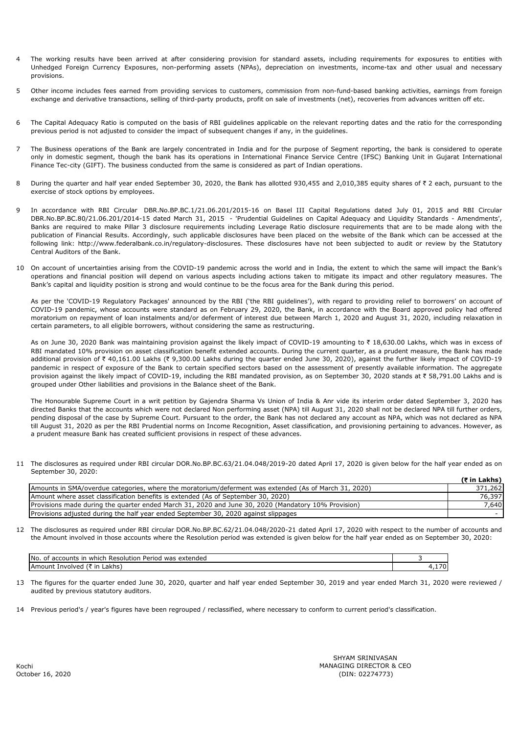- 4 The working results have been arrived at after considering provision for standard assets, including requirements for exposures to entities with Unhedged Foreign Currency Exposures, non-performing assets (NPAs), depreciation on investments, income-tax and other usual and necessary provisions.
- 5 Other income includes fees earned from providing services to customers, commission from non-fund-based banking activities, earnings from foreign exchange and derivative transactions, selling of third-party products, profit on sale of investments (net), recoveries from advances written off etc.
- 6 The Capital Adequacy Ratio is computed on the basis of RBI guidelines applicable on the relevant reporting dates and the ratio for the corresponding previous period is not adjusted to consider the impact of subsequent changes if any, in the guidelines.
- 7 The Business operations of the Bank are largely concentrated in India and for the purpose of Segment reporting, the bank is considered to operate only in domestic segment, though the bank has its operations in International Finance Service Centre (IFSC) Banking Unit in Gujarat International Finance Tec-city (GIFT). The business conducted from the same is considered as part of Indian operations.
- 8 During the quarter and half year ended September 30, 2020, the Bank has allotted 930,455 and 2,010,385 equity shares of  $\bar{\tau}$  2 each, pursuant to the exercise of stock options by employees.
- 9 In accordance with RBI Circular DBR.No.BP.BC.1/21.06.201/2015-16 on Basel III Capital Regulations dated July 01, 2015 and RBI Circular DBR.No.BP.BC.80/21.06.201/2014-15 dated March 31, 2015 - 'Prudential Guidelines on Capital Adequacy and Liquidity Standards - Amendments', Banks are required to make Pillar 3 disclosure requirements including Leverage Ratio disclosure requirements that are to be made along with the publication of Financial Results. Accordingly, such applicable disclosures have been placed on the website of the Bank which can be accessed at the following link: http://www.federalbank.co.in/regulatory-disclosures. These disclosures have not been subjected to audit or review by the Statutory Central Auditors of the Bank.
- 10 On account of uncertainties arising from the COVID-19 pandemic across the world and in India, the extent to which the same will impact the Bank's operations and financial position will depend on various aspects including actions taken to mitigate its impact and other regulatory measures. The Bank's capital and liquidity position is strong and would continue to be the focus area for the Bank during this period.

As per the 'COVID-19 Regulatory Packages' announced by the RBI ('the RBI guidelines'), with regard to providing relief to borrowers' on account of COVID-19 pandemic, whose accounts were standard as on February 29, 2020, the Bank, in accordance with the Board approved policy had offered moratorium on repayment of loan instalments and/or deferment of interest due between March 1, 2020 and August 31, 2020, including relaxation in certain parameters, to all eligible borrowers, without considering the same as restructuring.

As on June 30, 2020 Bank was maintaining provision against the likely impact of COVID-19 amounting to ₹ 18,630.00 Lakhs, which was in excess of RBI mandated 10% provision on asset classification benefit extended accounts. During the current quarter, as a prudent measure, the Bank has made additional provision of ₹ 40,161.00 Lakhs (₹ 9,300.00 Lakhs during the quarter ended June 30, 2020), against the further likely impact of COVID-19 pandemic in respect of exposure of the Bank to certain specified sectors based on the assessment of presently available information. The aggregate provision against the likely impact of COVID-19, including the RBI mandated provision, as on September 30, 2020 stands at ₹ 58,791.00 Lakhs and is grouped under Other liabilities and provisions in the Balance sheet of the Bank.

The Honourable Supreme Court in a writ petition by Gajendra Sharma Vs Union of India & Anr vide its interim order dated September 3, 2020 has directed Banks that the accounts which were not declared Non performing asset (NPA) till August 31, 2020 shall not be declared NPA till further orders, pending disposal of the case by Supreme Court. Pursuant to the order, the Bank has not declared any account as NPA, which was not declared as NPA till August 31, 2020 as per the RBI Prudential norms on Income Recognition, Asset classification, and provisioning pertaining to advances. However, as a prudent measure Bank has created sufficient provisions in respect of these advances.

11 The disclosures as required under RBI circular DOR.No.BP.BC.63/21.04.048/2019-20 dated April 17, 2020 is given below for the half year ended as on September 30, 2020:

|                                                                                                       | (₹ in Lakhs) |
|-------------------------------------------------------------------------------------------------------|--------------|
| Amounts in SMA/overdue categories, where the moratorium/deferment was extended (As of March 31, 2020) | 371,262      |
| Amount where asset classification benefits is extended (As of September 30, 2020)                     | 76,397       |
| Provisions made during the guarter ended March 31, 2020 and June 30, 2020 (Mandatory 10% Provision)   | 7,640        |
| Provisions adjusted during the half year ended September 30, 2020 against slippages                   |              |

12 The disclosures as required under RBI circular DOR.No.BP.BC.62/21.04.048/2020-21 dated April 17, 2020 with respect to the number of accounts and the Amount involved in those accounts where the Resolution period was extended is given below for the half year ended as on September 30, 2020:

| IN <sub>o</sub><br>Perioo<br>extended<br>accounts <sup>.</sup><br>Resolution<br>which<br>was<br>nt<br>ır<br>. |  |
|---------------------------------------------------------------------------------------------------------------|--|
| ∟akhs`<br><b>IAMOUNT</b><br>`nvolveo<br>$\sim$                                                                |  |

- 13 The figures for the quarter ended June 30, 2020, quarter and half year ended September 30, 2019 and year ended March 31, 2020 were reviewed / audited by previous statutory auditors.
- 14 Previous period's / year's figures have been regrouped / reclassified, where necessary to conform to current period's classification.

MANAGING DIRECTOR & CEO (DIN: 02274773) SHYAM SRINIVASAN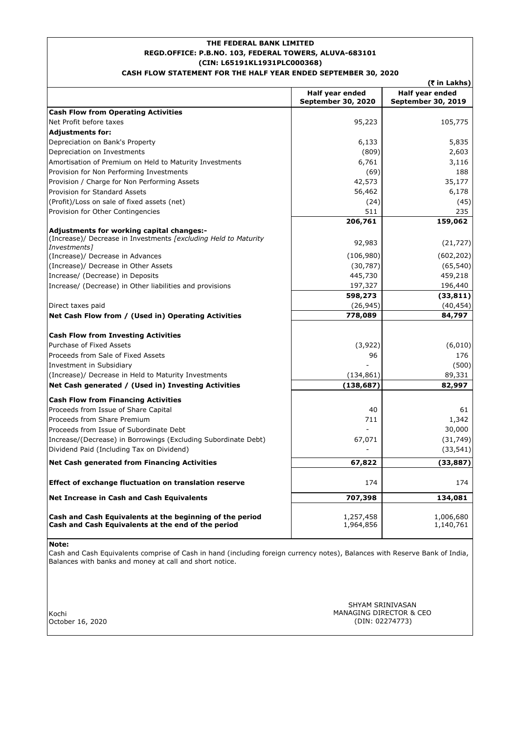# **REGD.OFFICE: P.B.NO. 103, FEDERAL TOWERS, ALUVA-683101 (CIN: L65191KL1931PLC000368) THE FEDERAL BANK LIMITED CASH FLOW STATEMENT FOR THE HALF YEAR ENDED SEPTEMBER 30, 2020**

|                                                                                                                |                                              | (₹ in Lakhs)                                 |
|----------------------------------------------------------------------------------------------------------------|----------------------------------------------|----------------------------------------------|
|                                                                                                                | Half year ended<br><b>September 30, 2020</b> | Half year ended<br><b>September 30, 2019</b> |
| <b>Cash Flow from Operating Activities</b>                                                                     |                                              |                                              |
| Net Profit before taxes                                                                                        | 95,223                                       | 105,775                                      |
| <b>Adjustments for:</b>                                                                                        |                                              |                                              |
| Depreciation on Bank's Property                                                                                | 6,133                                        | 5,835                                        |
| Depreciation on Investments                                                                                    | (809)                                        | 2,603                                        |
| Amortisation of Premium on Held to Maturity Investments                                                        | 6,761                                        | 3,116                                        |
| Provision for Non Performing Investments                                                                       | (69)                                         | 188                                          |
| Provision / Charge for Non Performing Assets                                                                   | 42,573                                       | 35,177                                       |
| Provision for Standard Assets                                                                                  | 56,462                                       | 6,178                                        |
| (Profit)/Loss on sale of fixed assets (net)                                                                    | (24)                                         | (45)                                         |
| Provision for Other Contingencies                                                                              | 511                                          | 235                                          |
|                                                                                                                | 206,761                                      | 159,062                                      |
| Adjustments for working capital changes:-<br>(Increase)/ Decrease in Investments [excluding Held to Maturity   | 92,983                                       | (21, 727)                                    |
| Investments <sub>1</sub>                                                                                       |                                              |                                              |
| (Increase)/ Decrease in Advances                                                                               | (106,980)                                    | (602, 202)                                   |
| (Increase)/ Decrease in Other Assets<br>Increase/ (Decrease) in Deposits                                       | (30, 787)<br>445,730                         | (65, 540)<br>459,218                         |
|                                                                                                                |                                              |                                              |
| Increase/ (Decrease) in Other liabilities and provisions                                                       | 197,327                                      | 196,440                                      |
| Direct taxes paid                                                                                              | 598,273<br>(26, 945)                         | (33, 811)<br>(40, 454)                       |
| Net Cash Flow from / (Used in) Operating Activities                                                            | 778,089                                      | 84,797                                       |
|                                                                                                                |                                              |                                              |
| <b>Cash Flow from Investing Activities</b>                                                                     |                                              |                                              |
| Purchase of Fixed Assets                                                                                       | (3,922)                                      | (6,010)                                      |
| Proceeds from Sale of Fixed Assets                                                                             | 96                                           | 176                                          |
| Investment in Subsidiary                                                                                       |                                              | (500)                                        |
| (Increase)/ Decrease in Held to Maturity Investments                                                           | (134, 861)                                   | 89,331                                       |
| Net Cash generated / (Used in) Investing Activities                                                            | (138, 687)                                   | 82,997                                       |
| <b>Cash Flow from Financing Activities</b>                                                                     |                                              |                                              |
| Proceeds from Issue of Share Capital                                                                           | 40                                           | 61                                           |
| Proceeds from Share Premium                                                                                    | 711                                          | 1,342                                        |
| Proceeds from Issue of Subordinate Debt                                                                        |                                              | 30,000                                       |
| Increase/(Decrease) in Borrowings (Excluding Subordinate Debt)                                                 | 67,071                                       | (31, 749)                                    |
| Dividend Paid (Including Tax on Dividend)                                                                      |                                              | (33, 541)                                    |
|                                                                                                                |                                              |                                              |
| <b>Net Cash generated from Financing Activities</b>                                                            | 67,822                                       | (33,887)                                     |
| Effect of exchange fluctuation on translation reserve                                                          | 174                                          | 174                                          |
| Net Increase in Cash and Cash Equivalents                                                                      | 707,398                                      | 134,081                                      |
|                                                                                                                |                                              |                                              |
| Cash and Cash Equivalents at the beginning of the period<br>Cash and Cash Equivalents at the end of the period | 1,257,458<br>1,964,856                       | 1,006,680<br>1,140,761                       |

## **Note:**

Cash and Cash Equivalents comprise of Cash in hand (including foreign currency notes), Balances with Reserve Bank of India, Balances with banks and money at call and short notice.

Kochi October 16, 2020 MANAGING DIRECTOR & CEO (DIN: 02274773) SHYAM SRINIVASAN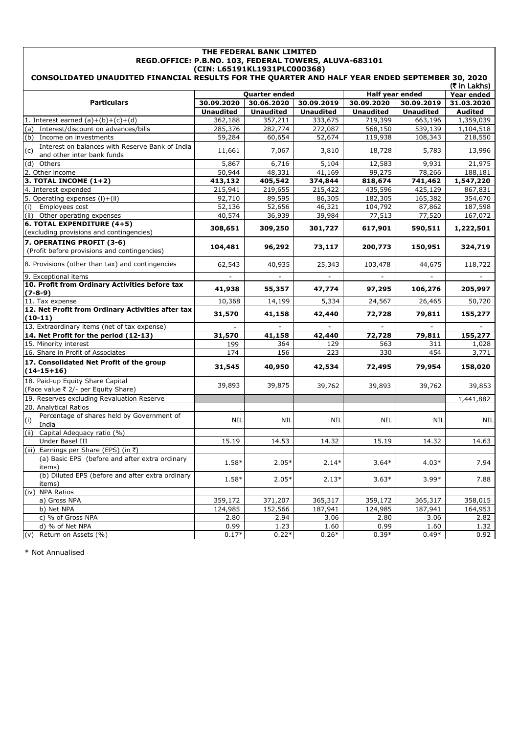| THE FEDERAL BANK LIMITED<br>REGD.OFFICE: P.B.NO. 103, FEDERAL TOWERS, ALUVA-683101<br>(CIN: L65191KL1931PLC000368)<br>CONSOLIDATED UNAUDITED FINANCIAL RESULTS FOR THE QUARTER AND HALF YEAR ENDED SEPTEMBER 30, 2020 |                   |                   |                          |                          |                  |                |  |
|-----------------------------------------------------------------------------------------------------------------------------------------------------------------------------------------------------------------------|-------------------|-------------------|--------------------------|--------------------------|------------------|----------------|--|
| (₹ in Lakhs)                                                                                                                                                                                                          |                   |                   |                          |                          |                  |                |  |
|                                                                                                                                                                                                                       |                   | Quarter ended     |                          | Half year ended          |                  | Year ended     |  |
| <b>Particulars</b>                                                                                                                                                                                                    | 30.09.2020        | 30.06.2020        | 30.09.2019               | 30.09.2020               | 30.09.2019       | 31.03.2020     |  |
|                                                                                                                                                                                                                       | <b>Unaudited</b>  | <b>Unaudited</b>  | <b>Unaudited</b>         | <b>Unaudited</b>         | <b>Unaudited</b> | <b>Audited</b> |  |
| 1. Interest earned $(a)+(b)+(c)+(d)$                                                                                                                                                                                  | 362,188           | 357,211           | 333,675                  | 719,399                  | 663,196          | 1,359,039      |  |
| (a) Interest/discount on advances/bills<br>(b) Income on investments                                                                                                                                                  | 285,376<br>59,284 | 282,774<br>60,654 | 272,087<br>52,674        | 568,150<br>119,938       | 539,139          | 1,104,518      |  |
| Interest on balances with Reserve Bank of India                                                                                                                                                                       |                   |                   |                          |                          | 108,343          | 218,550        |  |
| (c)<br>and other inter bank funds                                                                                                                                                                                     | 11,661            | 7,067             | 3,810                    | 18,728                   | 5,783            | 13,996         |  |
| $(d)$ Others                                                                                                                                                                                                          | 5,867             | 6,716             | 5,104                    | 12,583                   | 9,931            | 21,975         |  |
| 2. Other income                                                                                                                                                                                                       | 50,944            | 48,331            | 41,169                   | 99,275                   | 78,266           | 188,181        |  |
| $3.$ TOTAL INCOME $(1+2)$                                                                                                                                                                                             | 413,132           | 405,542           | 374,844                  | 818,674                  | 741,462          | 1,547,220      |  |
| 4. Interest expended                                                                                                                                                                                                  | 215,941           | 219,655           | 215,422                  | 435,596                  | 425,129          | 867,831        |  |
| 5. Operating expenses (i)+(ii)                                                                                                                                                                                        | 92,710            | 89,595            | 86,305                   | 182,305                  | 165,382          | 354,670        |  |
| Employees cost<br>(i)                                                                                                                                                                                                 | 52,136            | 52,656            | 46,321                   | 104,792                  | 87,862           | 187,598        |  |
| (ii) Other operating expenses                                                                                                                                                                                         | 40,574            | 36,939            | 39,984                   | 77,513                   | 77,520           | 167,072        |  |
| 6. TOTAL EXPENDITURE (4+5)                                                                                                                                                                                            |                   |                   |                          |                          |                  |                |  |
| (excluding provisions and contingencies)                                                                                                                                                                              | 308,651           | 309,250           | 301,727                  | 617,901                  | 590,511          | 1,222,501      |  |
| 7. OPERATING PROFIT (3-6)                                                                                                                                                                                             |                   |                   |                          |                          |                  |                |  |
| (Profit before provisions and contingencies)                                                                                                                                                                          | 104,481           | 96,292            | 73,117                   | 200,773                  | 150,951          | 324,719        |  |
| 8. Provisions (other than tax) and contingencies                                                                                                                                                                      | 62,543            | 40,935            | 25,343                   | 103,478                  | 44,675           | 118,722        |  |
| 9. Exceptional items                                                                                                                                                                                                  |                   | $\blacksquare$    | $\overline{\phantom{a}}$ | $\overline{\phantom{a}}$ |                  | $\blacksquare$ |  |
| 10. Profit from Ordinary Activities before tax                                                                                                                                                                        |                   |                   |                          |                          |                  |                |  |
| $(7-8-9)$                                                                                                                                                                                                             | 41,938            | 55,357            | 47,774                   | 97,295                   | 106,276          | 205,997        |  |
| 11. Tax expense                                                                                                                                                                                                       | 10,368            | 14,199            | 5,334                    | 24,567                   | 26,465           | 50,720         |  |
| 12. Net Profit from Ordinary Activities after tax<br>$(10-11)$                                                                                                                                                        | 31,570            | 41,158            | 42,440                   | 72,728                   | 79,811           | 155,277        |  |
| 13. Extraordinary items (net of tax expense)                                                                                                                                                                          |                   |                   |                          |                          |                  |                |  |
| 14. Net Profit for the period (12-13)                                                                                                                                                                                 | 31,570            | 41,158            | 42,440                   | 72,728                   | 79,811           | 155,277        |  |
| 15. Minority interest                                                                                                                                                                                                 | 199               | 364               | 129                      | 563                      | 311              | 1,028          |  |
| 16. Share in Profit of Associates                                                                                                                                                                                     | 174               | 156               | 223                      | 330                      | 454              | 3,771          |  |
| 17. Consolidated Net Profit of the group<br>$(14-15+16)$                                                                                                                                                              | 31,545            | 40,950            | 42,534                   | 72,495                   | 79,954           | 158,020        |  |
| 18. Paid-up Equity Share Capital<br>(Face value ₹ 2/- per Equity Share)                                                                                                                                               | 39,893            | 39,875            | 39,762                   | 39,893                   | 39,762           | 39,853         |  |
| 19. Reserves excluding Revaluation Reserve                                                                                                                                                                            |                   |                   |                          |                          |                  | 1,441,882      |  |
| 20. Analytical Ratios                                                                                                                                                                                                 |                   |                   |                          |                          |                  |                |  |
| Percentage of shares held by Government of<br>(i)                                                                                                                                                                     | NIL               | NIL               | NIL                      | NIL                      | NIL              | NIL            |  |
| India<br>(ii) Capital Adequacy ratio (%)                                                                                                                                                                              |                   |                   |                          |                          |                  |                |  |
| Under Basel III                                                                                                                                                                                                       | 15.19             | 14.53             | 14.32                    | 15.19                    | 14.32            | 14.63          |  |
| (iii) Earnings per Share (EPS) (in ₹)                                                                                                                                                                                 |                   |                   |                          |                          |                  |                |  |
| (a) Basic EPS (before and after extra ordinary                                                                                                                                                                        |                   |                   |                          |                          |                  |                |  |
| items)                                                                                                                                                                                                                | 1.58*             | $2.05*$           | $2.14*$                  | $3.64*$                  | $4.03*$          | 7.94           |  |
| (b) Diluted EPS (before and after extra ordinary<br>items)                                                                                                                                                            | 1.58*             | $2.05*$           | $2.13*$                  | $3.63*$                  | $3.99*$          | 7.88           |  |
| (iv) NPA Ratios                                                                                                                                                                                                       |                   |                   |                          |                          |                  |                |  |
| a) Gross NPA                                                                                                                                                                                                          | 359,172           | 371,207           | 365,317                  | 359,172                  | 365,317          | 358,015        |  |
| b) Net NPA                                                                                                                                                                                                            | 124,985           | 152,566           | 187,941                  | 124,985                  | 187,941          | 164,953        |  |
| c) % of Gross NPA                                                                                                                                                                                                     | 2.80              | 2.94              | 3.06                     | 2.80                     | 3.06             | 2.82           |  |
| d) % of Net NPA                                                                                                                                                                                                       | 0.99              | 1.23              | 1.60                     | 0.99                     | 1.60             | 1.32           |  |
| (v) Return on Assets (%)                                                                                                                                                                                              | $0.17*$           | $0.22*$           | $0.26*$                  | $0.39*$                  | $0.49*$          | 0.92           |  |

\* Not Annualised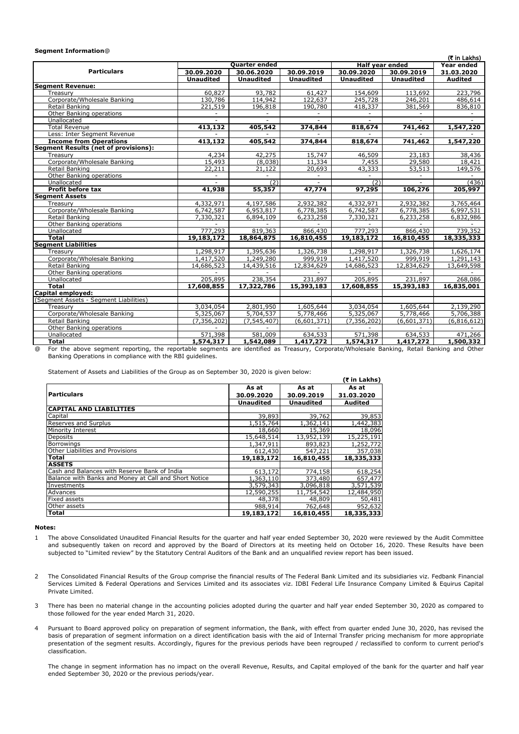#### **Segment Information**@

|                                                                                                                                                 |                          |                          |                        |                        |                  | (₹ in Lakhs)             |
|-------------------------------------------------------------------------------------------------------------------------------------------------|--------------------------|--------------------------|------------------------|------------------------|------------------|--------------------------|
|                                                                                                                                                 |                          | Quarter ended            |                        | <b>Half year ended</b> |                  | Year ended               |
| <b>Particulars</b>                                                                                                                              | 30.09.2020               | 30.06.2020               | 30.09.2019             | 30.09.2020             | 30.09.2019       | 31.03.2020               |
|                                                                                                                                                 | <b>Unaudited</b>         | <b>Unaudited</b>         | <b>Unaudited</b>       | <b>Unaudited</b>       | <b>Unaudited</b> | <b>Audited</b>           |
| <b>Segment Revenue:</b>                                                                                                                         |                          |                          |                        |                        |                  |                          |
| Treasury                                                                                                                                        | 60,827                   | 93,782                   | 61,427                 | 154,609                | 113,692          | 223,796                  |
| Corporate/Wholesale Banking                                                                                                                     | 130,786                  | 114,942                  | 122,637                | 245,728                | 246,201          | 486,614                  |
| Retail Banking                                                                                                                                  | 221,519                  | 196,818                  | 190,780                | 418,337                | 381,569          | 836,810                  |
| Other Banking operations                                                                                                                        | $\overline{\phantom{a}}$ | $\overline{\phantom{a}}$ | $\sim$                 |                        |                  | $\overline{\phantom{a}}$ |
| Unallocated                                                                                                                                     |                          |                          |                        |                        |                  |                          |
| <b>Total Revenue</b>                                                                                                                            | 413,132                  | 405,542                  | 374,844                | 818,674                | 741,462          | 1,547,220                |
| Less: Inter Segment Revenue                                                                                                                     |                          |                          |                        |                        |                  |                          |
| <b>Income from Operations</b>                                                                                                                   | 413,132                  | 405,542                  | 374,844                | 818,674                | 741,462          | 1,547,220                |
| <b>Segment Results (net of provisions):</b>                                                                                                     |                          |                          |                        |                        |                  |                          |
| Treasury                                                                                                                                        | 4,234                    | 42,275                   | 15,747                 | 46,509                 | 23,183           | 38,436                   |
| Corporate/Wholesale Banking                                                                                                                     | 15,493                   | (8,038)                  | 11,334                 | 7,455                  | 29,580           | 18,421                   |
| Retail Banking                                                                                                                                  | 22,211                   | 21,122                   | 20,693                 | 43,333                 | 53,513           | 149,576                  |
| Other Banking operations                                                                                                                        |                          |                          |                        |                        |                  |                          |
| Unallocated                                                                                                                                     |                          | (2)                      |                        | (2)                    |                  | (436)                    |
| <b>Profit before tax</b>                                                                                                                        | 41,938                   | 55,357                   | 47,774                 | 97,295                 | 106,276          | 205,997                  |
| <b>Segment Assets</b>                                                                                                                           |                          |                          |                        |                        |                  |                          |
| Treasury                                                                                                                                        | 4,332,971                | 4,197,586                | 2,932,382              | 4,332,971              | 2,932,382        | 3,765,464                |
| Corporate/Wholesale Banking                                                                                                                     | 6,742,587                | 6,953,817                | 6,778,385              | 6,742,587              | 6,778,385        | 6,997,531                |
| Retail Banking                                                                                                                                  | 7,330,321                | 6,894,109                | 6,233,258              | 7,330,321              | 6,233,258        | 6,832,986                |
| Other Banking operations                                                                                                                        |                          |                          |                        |                        |                  |                          |
| Unallocated                                                                                                                                     | 777,293                  | 819,363                  | 866,430                | 777,293                | 866,430          | 739,352                  |
| <b>Total</b>                                                                                                                                    | 19,183,172               | 18,864,875               | 16,810,455             | 19,183,172             | 16,810,455       | 18,335,333               |
| <b>Segment Liabilities</b>                                                                                                                      |                          |                          |                        |                        |                  |                          |
| Treasury                                                                                                                                        | 1,298,917                | 1,395,636                | 1,326,738              | 1,298,917              | 1,326,738        | 1,626,174                |
| Corporate/Wholesale Banking                                                                                                                     | 1,417,520                | 1,249,280                | 999,919                | 1,417,520              | 999,919          | 1,291,143                |
| Retail Banking                                                                                                                                  | 14,686,523               | 14,439,516               | 12,834,629             | 14,686,523             | 12,834,629       | 13,649,598               |
| Other Banking operations                                                                                                                        |                          |                          |                        |                        |                  |                          |
| Unallocated                                                                                                                                     | 205,895                  | 238,354                  | 231,897                | 205,895                | 231,897          | 268,086                  |
| <b>Total</b>                                                                                                                                    | 17,608,855               | 17,322,786               | 15,393,183             | 17,608,855             | 15,393,183       | 16,835,001               |
| Capital employed:                                                                                                                               |                          |                          |                        |                        |                  |                          |
| (Segment Assets - Segment Liabilities)                                                                                                          |                          |                          |                        |                        |                  |                          |
| Treasurv                                                                                                                                        | 3,034,054                | 2,801,950                | 1.605,644              | 3,034,054              | 1,605,644        | 2,139,290                |
| Corporate/Wholesale Banking                                                                                                                     | 5,325,067                | 5,704,537                | $\overline{5,778,466}$ | 5,325,067              | 5,778,466        | 5,706,388                |
| Retail Banking                                                                                                                                  | (7, 356, 202)            | $\sqrt{(7.545, 407)}$    | (6,601,371)            | (7, 356, 202)          | (6,601,371)      | (6, 816, 612)            |
| Other Banking operations                                                                                                                        |                          |                          |                        |                        |                  |                          |
| Unallocated                                                                                                                                     | 571,398                  | 581,009                  | 634,533                | 571,398                | 634,533          | 471,266                  |
| <b>Total</b>                                                                                                                                    | 1,574,317                | 1,542,089                | 1,417,272              | 1,574,317              | 1,417,272        | 1,500,332                |
| For the above segment reporting, the reportable segments are identified as Treasury, Corporate/Wholesale Banking, Retail Banking and Other<br>⋒ |                          |                          |                        |                        |                  |                          |

iegment reporting, the reportable segments are identified as Treasury, Corporate/Wholesale Banking, Retail Banking and Other Banking Operations in compliance with the RBI guidelines.

Statement of Assets and Liabilities of the Group as on September 30, 2020 is given below:

|                                                       |                  |                  | (₹ in Lakhs) |
|-------------------------------------------------------|------------------|------------------|--------------|
|                                                       | As at            | As at            | As at        |
| <b>Particulars</b>                                    | 30.09.2020       | 30.09.2019       | 31.03.2020   |
|                                                       | <b>Unaudited</b> | <b>Unaudited</b> | Audited      |
| <b>CAPITAL AND LIABILITIES</b>                        |                  |                  |              |
| Capital                                               | 39,893           | 39,762           | 39,853       |
| <b>Reserves and Surplus</b>                           | 1,515,764        | 1,362,141        | 1,442,383    |
| Minority Interest                                     | 18,660           | 15,369           | 18,096       |
| <b>Deposits</b>                                       | 15,648,514       | 13,952,139       | 15,225,191   |
| <b>Borrowings</b>                                     | 1,347,911        | 893,823          | 1,252,772    |
| Other Liabilities and Provisions                      | 612,430          | 547,221          | 357,038      |
| <b>Total</b>                                          | 19,183,172       | 16,810,455       | 18,335,333   |
| <b>ASSETS</b>                                         |                  |                  |              |
| Cash and Balances with Reserve Bank of India          | 613,172          | 774,158          | 618,254      |
| Balance with Banks and Money at Call and Short Notice | 1,363,110        | 373,480          | 657,477      |
| Investments                                           | 3,579,343        | 3,096,818        | 3,571,539    |
| Advances                                              | 12,590,255       | 11,754,542       | 12,484,950   |
| <b>Fixed assets</b>                                   | 48,378           | 48,809           | 50,481       |
| Other assets                                          | 988,914          | 762,648          | 952,632      |
| Total                                                 | 19,183,172       | 16,810,455       | 18,335,333   |

#### **Notes:**

- 1 The above Consolidated Unaudited Financial Results for the quarter and half year ended September 30, 2020 were reviewed by the Audit Committee and subsequently taken on record and approved by the Board of Directors at its meeting held on October 16, 2020. These Results have been subjected to "Limited review" by the Statutory Central Auditors of the Bank and an unqualified review report has been issued.
- $\overline{2}$ The Consolidated Financial Results of the Group comprise the financial results of The Federal Bank Limited and its subsidiaries viz. Fedbank Financial Services Limited & Federal Operations and Services Limited and its associates viz. IDBI Federal Life Insurance Company Limited & Equirus Capital Private Limited.
- 3 There has been no material change in the accounting policies adopted during the quarter and half year ended September 30, 2020 as compared to those followed for the year ended March 31, 2020.
- 4 Pursuant to Board approved policy on preparation of segment information, the Bank, with effect from quarter ended June 30, 2020, has revised the basis of preparation of segment information on a direct identification basis with the aid of Internal Transfer pricing mechanism for more appropriate presentation of the segment results. Accordingly, figures for the previous periods have been regrouped / reclassified to conform to current period's classification.

The change in segment information has no impact on the overall Revenue, Results, and Capital employed of the bank for the quarter and half year ended September 30, 2020 or the previous periods/year.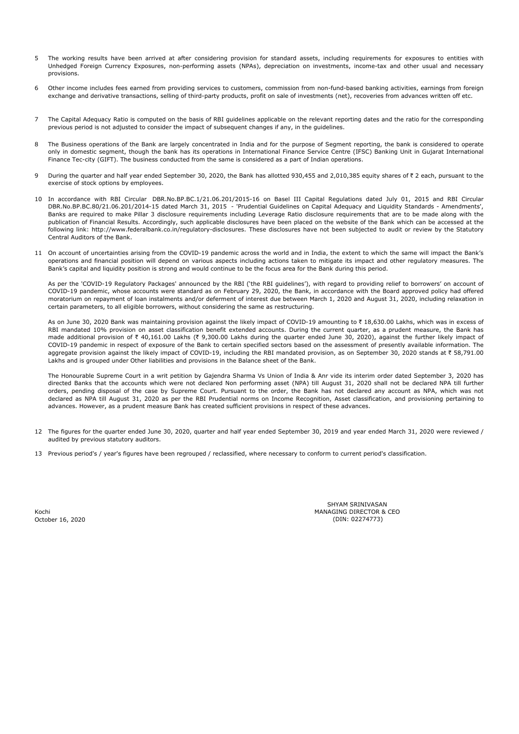- 5 The working results have been arrived at after considering provision for standard assets, including requirements for exposures to entities with Unhedged Foreign Currency Exposures, non-performing assets (NPAs), depreciation on investments, income-tax and other usual and necessary provisions.
- 6 Other income includes fees earned from providing services to customers, commission from non-fund-based banking activities, earnings from foreign exchange and derivative transactions, selling of third-party products, profit on sale of investments (net), recoveries from advances written off etc.
- 7 The Capital Adequacy Ratio is computed on the basis of RBI guidelines applicable on the relevant reporting dates and the ratio for the corresponding previous period is not adjusted to consider the impact of subsequent changes if any, in the guidelines.
- 8 The Business operations of the Bank are largely concentrated in India and for the purpose of Segment reporting, the bank is considered to operate only in domestic segment, though the bank has its operations in International Finance Service Centre (IFSC) Banking Unit in Gujarat International Finance Tec-city (GIFT). The business conducted from the same is considered as a part of Indian operations.
- 9 During the quarter and half year ended September 30, 2020, the Bank has allotted 930,455 and 2,010,385 equity shares of ₹ 2 each, pursuant to the exercise of stock options by employees.
- 10 In accordance with RBI Circular DBR.No.BP.BC.1/21.06.201/2015-16 on Basel III Capital Regulations dated July 01, 2015 and RBI Circular DBR.No.BP.BC.80/21.06.201/2014-15 dated March 31, 2015 - 'Prudential Guidelines on Capital Adequacy and Liquidity Standards - Amendments', Banks are required to make Pillar 3 disclosure requirements including Leverage Ratio disclosure requirements that are to be made along with the publication of Financial Results. Accordingly, such applicable disclosures have been placed on the website of the Bank which can be accessed at the following link: http://www.federalbank.co.in/regulatory-disclosures. These disclosures have not been subjected to audit or review by the Statutory Central Auditors of the Bank.
- 11 On account of uncertainties arising from the COVID-19 pandemic across the world and in India, the extent to which the same will impact the Bank's operations and financial position will depend on various aspects including actions taken to mitigate its impact and other regulatory measures. The Bank's capital and liquidity position is strong and would continue to be the focus area for the Bank during this period.

As per the 'COVID-19 Regulatory Packages' announced by the RBI ('the RBI guidelines'), with regard to providing relief to borrowers' on account of COVID-19 pandemic, whose accounts were standard as on February 29, 2020, the Bank, in accordance with the Board approved policy had offered moratorium on repayment of loan instalments and/or deferment of interest due between March 1, 2020 and August 31, 2020, including relaxation in certain parameters, to all eligible borrowers, without considering the same as restructuring.

As on June 30, 2020 Bank was maintaining provision against the likely impact of COVID-19 amounting to ₹ 18,630.00 Lakhs, which was in excess of RBI mandated 10% provision on asset classification benefit extended accounts. During the current quarter, as a prudent measure, the Bank has made additional provision of  $\bar{\tau}$  40,161.00 Lakhs ( $\bar{\tau}$  9,300.00 Lakhs during the quarter ended June 30, 2020), against the further likely impact of COVID-19 pandemic in respect of exposure of the Bank to certain specified sectors based on the assessment of presently available information. The aggregate provision against the likely impact of COVID-19, including the RBI mandated provision, as on September 30, 2020 stands at ₹ 58,791.00 Lakhs and is grouped under Other liabilities and provisions in the Balance sheet of the Bank.

The Honourable Supreme Court in a writ petition by Gajendra Sharma Vs Union of India & Anr vide its interim order dated September 3, 2020 has directed Banks that the accounts which were not declared Non performing asset (NPA) till August 31, 2020 shall not be declared NPA till further orders, pending disposal of the case by Supreme Court. Pursuant to the order, the Bank has not declared any account as NPA, which was not declared as NPA till August 31, 2020 as per the RBI Prudential norms on Income Recognition, Asset classification, and provisioning pertaining to advances. However, as a prudent measure Bank has created sufficient provisions in respect of these advances.

- 12 The figures for the quarter ended June 30, 2020, quarter and half year ended September 30, 2019 and year ended March 31, 2020 were reviewed / audited by previous statutory auditors.
- 13 Previous period's / year's figures have been regrouped / reclassified, where necessary to conform to current period's classification.

Kochi<br>October 16, 2020

(DIN: 02274773) SHYAM SRINIVASAN MANAGING DIRECTOR & CEO